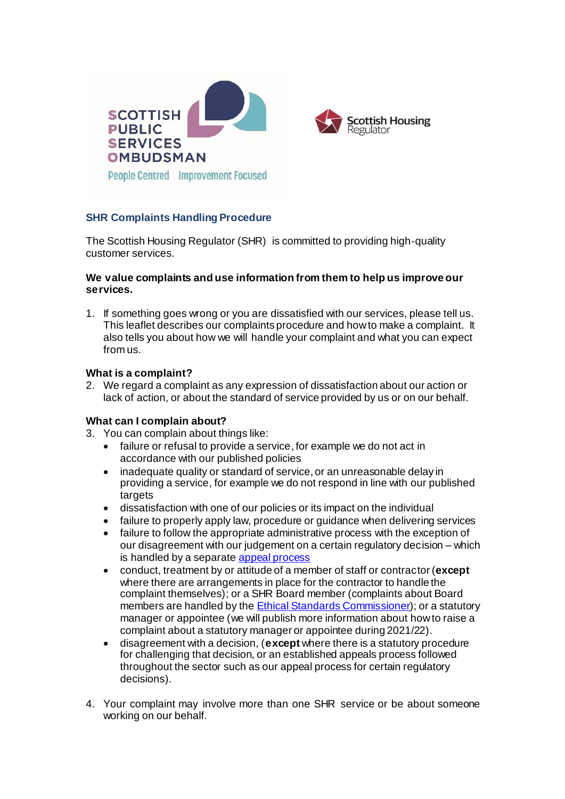

# **SHR Complaints Handling Procedure**

The Scottish Housing Regulator (SHR) is committed to providing high-quality customer services.

#### **We value complaints and use information from them to help us improve our services.**

1. If something goes wrong or you are dissatisfied with our services, please tell us. This leaflet describes our complaints procedure and how to make a complaint. It also tells you about how we will handle your complaint and what you can expect from us.

# **What is a complaint?**

2. We regard a complaint as any expression of dissatisfaction about our action or lack of action, or about the standard of service provided by us or on our behalf.

#### **What can I complain about?**

- 3. You can complain about things like:
	- failure or refusal to provide a service, for example we do not act in accordance with our published policies
	- inadequate quality or standard of service, or an unreasonable delay in providing a service, for example we do not respond in line with our published targets
	- dissatisfaction with one of our policies or its impact on the individual
	- failure to properly apply law, procedure or guidance when delivering services
	- failure to follow the appropriate administrative process with the exception of our disagreement with our judgement on a certain regulatory decision – which is handled by a separat[e appeal process](https://www.housingregulator.gov.scot/for-landlords/statutory-guidance/how-to-request-an-appeal-of-a-regulatory-decision)
	- conduct, treatment by or attitude of a member of staff or contractor (**except** where there are arrangements in place for the contractor to handle the complaint themselves); or a SHR Board member (complaints about Board members are handled by the **Ethical Standards Commissioner**); or a statutory manager or appointee (we will publish more information about how to raise a complaint about a statutory manager or appointee during 2021/22).
	- disagreement with a decision, (**except** where there is a statutory procedure for challenging that decision, or an established appeals process followed throughout the sector such as our appeal process for certain regulatory decisions).
- 4. Your complaint may involve more than one SHR service or be about someone working on our behalf.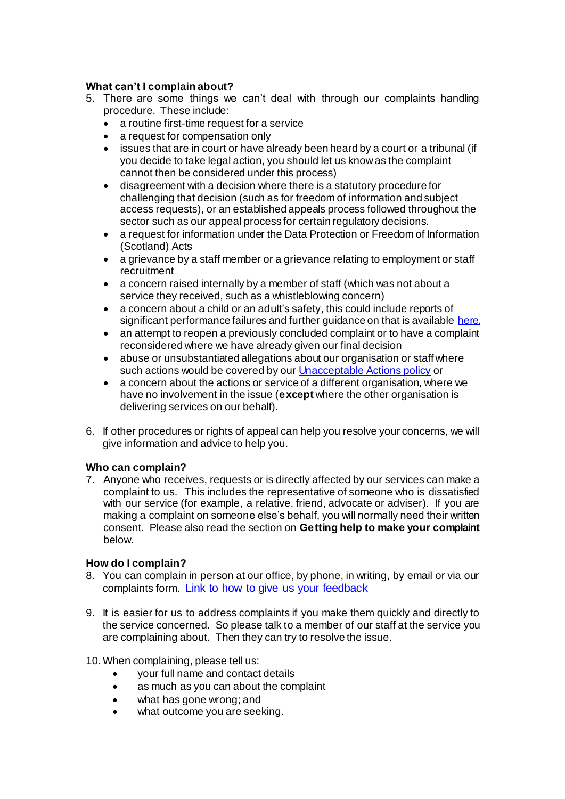# **What can't I complain about?**

- 5. There are some things we can't deal with through our complaints handling procedure. These include:
	- a routine first-time request for a service
	- a request for compensation only
	- issues that are in court or have already been heard by a court or a tribunal (if you decide to take legal action, you should let us know as the complaint cannot then be considered under this process)
	- disagreement with a decision where there is a statutory procedure for challenging that decision (such as for freedom of information and subject access requests), or an established appeals process followed throughout the sector such as our appeal process for certain regulatory decisions.
	- a request for information under the Data Protection or Freedom of Information (Scotland) Acts
	- a grievance by a staff member or a grievance relating to employment or staff recruitment
	- a concern raised internally by a member of staff (which was not about a service they received, such as a whistleblowing concern)
	- a concern about a child or an adult's safety, this could include reports of significant performance failures and further guidance on that is availabl[e here.](https://www.housingregulator.gov.scot/for-landlords/advisory-guidance/how-we-work/significant-performance-failures-factsheet-for-tenants)
	- an attempt to reopen a previously concluded complaint or to have a complaint reconsidered where we have already given our final decision
	- abuse or unsubstantiated allegations about our organisation or staff where such actions would be covered by ou[r Unacceptable Actions policy](https://www.housingregulator.gov.scot/about-us/what-we-do/how-we-work/unacceptable-actions-policy) or
	- a concern about the actions or service of a different organisation, where we have no involvement in the issue (**except** where the other organisation is delivering services on our behalf).
- 6. If other procedures or rights of appeal can help you resolve your concerns, we will give information and advice to help you.

# **Who can complain?**

7. Anyone who receives, requests or is directly affected by our services can make a complaint to us. This includes the representative of someone who is dissatisfied with our service (for example, a relative, friend, advocate or adviser). If you are making a complaint on someone else's behalf, you will normally need their written consent. Please also read the section on **Getting help to make your complaint** below.

# **How do I complain?**

- 8. You can complain in person at our office, by phone, in writing, by email or via our complaints form. [Link to how to give us your feedback](https://www.housingregulator.gov.scot/about-us/what-we-do/your-feedback)
- 9. It is easier for us to address complaints if you make them quickly and directly to the service concerned. So please talk to a member of our staff at the service you are complaining about. Then they can try to resolve the issue.

# 10.When complaining, please tell us:

- your full name and contact details
- as much as you can about the complaint
- what has gone wrong; and
- what outcome you are seeking.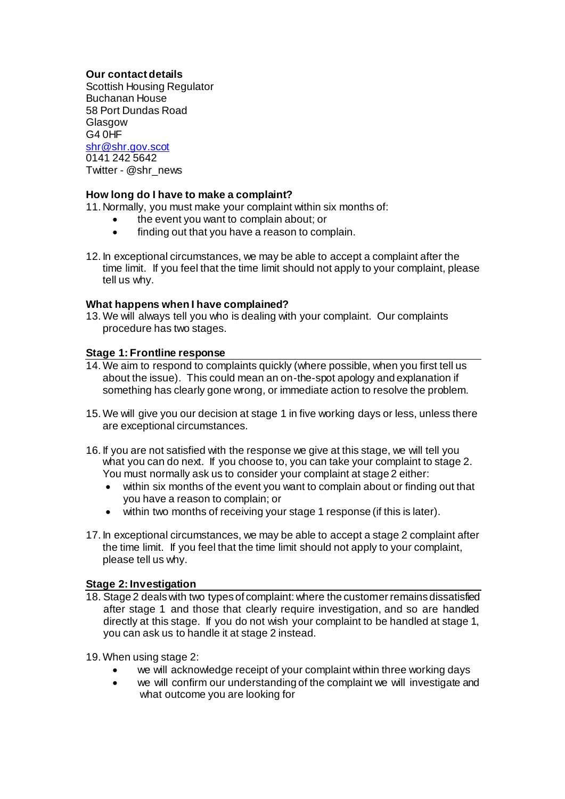**Our contact details** Scottish Housing Regulator Buchanan House 58 Port Dundas Road Glasgow G4 0HF [shr@shr.gov.scot](mailto:shr@shr.gov.scot) 0141 242 5642 Twitter - @shr\_news

# **How long do I have to make a complaint?**

11. Normally, you must make your complaint within six months of:

- the event you want to complain about; or
- finding out that you have a reason to complain.
- 12. In exceptional circumstances, we may be able to accept a complaint after the time limit. If you feel that the time limit should not apply to your complaint, please tell us why.

#### **What happens when I have complained?**

13.We will always tell you who is dealing with your complaint. Our complaints procedure has two stages.

#### **Stage 1: Frontline response**

- 14.We aim to respond to complaints quickly (where possible, when you first tell us about the issue). This could mean an on-the-spot apology and explanation if something has clearly gone wrong, or immediate action to resolve the problem.
- 15.We will give you our decision at stage 1 in five working days or less, unless there are exceptional circumstances.
- 16. If you are not satisfied with the response we give at this stage, we will tell you what you can do next. If you choose to, you can take your complaint to stage 2. You must normally ask us to consider your complaint at stage 2 either:
	- within six months of the event you want to complain about or finding out that you have a reason to complain; or
	- within two months of receiving your stage 1 response (if this is later).
- 17. In exceptional circumstances, we may be able to accept a stage 2 complaint after the time limit. If you feel that the time limit should not apply to your complaint, please tell us why.

#### **Stage 2: Investigation**

18. Stage 2 deals with two types of complaint: where the customer remains dissatisfied after stage 1 and those that clearly require investigation, and so are handled directly at this stage. If you do not wish your complaint to be handled at stage 1, you can ask us to handle it at stage 2 instead.

19.When using stage 2:

- we will acknowledge receipt of your complaint within three working days
- we will confirm our understanding of the complaint we will investigate and what outcome you are looking for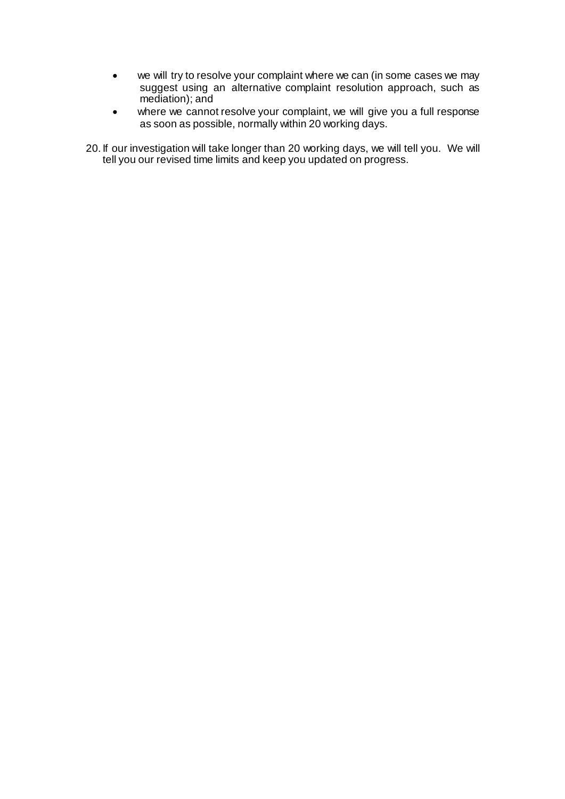- we will try to resolve your complaint where we can (in some cases we may suggest using an alternative complaint resolution approach, such as mediation); and
- where we cannot resolve your complaint, we will give you a full response as soon as possible, normally within 20 working days.

20. If our investigation will take longer than 20 working days, we will tell you. We will tell you our revised time limits and keep you updated on progress.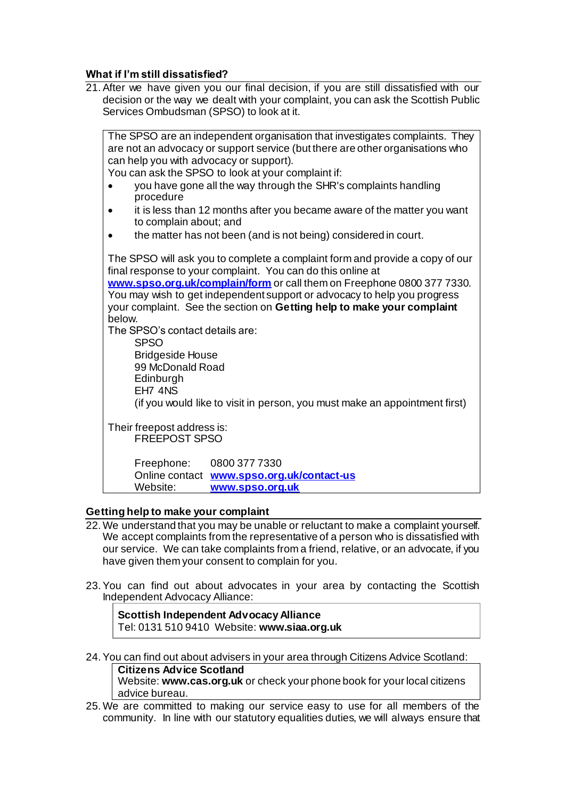#### **What if I'm still dissatisfied?**

21.After we have given you our final decision, if you are still dissatisfied with our decision or the way we dealt with your complaint, you can ask the Scottish Public Services Ombudsman (SPSO) to look at it.

| The SPSO are an independent organisation that investigates complaints. They<br>are not an advocacy or support service (but there are other organisations who |
|--------------------------------------------------------------------------------------------------------------------------------------------------------------|
| can help you with advocacy or support).                                                                                                                      |
| You can ask the SPSO to look at your complaint if:                                                                                                           |
| you have gone all the way through the SHR's complaints handling<br>procedure                                                                                 |
| it is less than 12 months after you became aware of the matter you want<br>to complain about; and                                                            |
| the matter has not been (and is not being) considered in court.                                                                                              |
| The SPSO will ask you to complete a complaint form and provide a copy of our<br>final response to your complaint. You can do this online at                  |
| www.spso.org.uk/complain/form or call them on Freephone 0800 377 7330.                                                                                       |
| You may wish to get independent support or advocacy to help you progress                                                                                     |
| your complaint. See the section on Getting help to make your complaint                                                                                       |
| below.                                                                                                                                                       |
| The SPSO's contact details are:                                                                                                                              |
| <b>SPSO</b>                                                                                                                                                  |
| <b>Bridgeside House</b><br>99 McDonald Road                                                                                                                  |
| Edinburgh                                                                                                                                                    |
| EH7 4NS                                                                                                                                                      |
| (if you would like to visit in person, you must make an appointment first)                                                                                   |
|                                                                                                                                                              |
| Their freepost address is:                                                                                                                                   |
| <b>FREEPOST SPSO</b>                                                                                                                                         |
|                                                                                                                                                              |
| Freephone:<br>0800 377 7330                                                                                                                                  |
| Online contact www.spso.org.uk/contact-us                                                                                                                    |
| Website:<br>www.spso.org.uk                                                                                                                                  |

#### **Getting help to make your complaint**

- 22.We understand that you may be unable or reluctant to make a complaint yourself. We accept complaints from the representative of a person who is dissatisfied with our service. We can take complaints from a friend, relative, or an advocate, if you have given them your consent to complain for you.
- 23.You can find out about advocates in your area by contacting the Scottish Independent Advocacy Alliance:

**Scottish Independent Advocacy Alliance** Tel: 0131 510 9410 Website: **www.siaa.org.uk**

24.You can find out about advisers in your area through Citizens Advice Scotland: **Citizens Advice Scotland** Website: **www.cas.org.uk** or check your phone book for your local citizens advice bureau.

25.We are committed to making our service easy to use for all members of the community. In line with our statutory equalities duties, we will always ensure that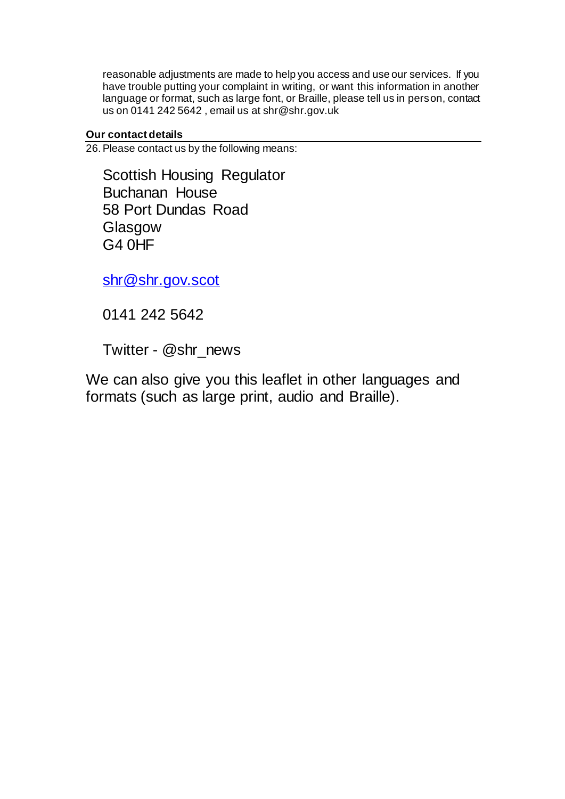reasonable adjustments are made to help you access and use our services. If you have trouble putting your complaint in writing, or want this information in another language or format, such as large font, or Braille, please tell us in person, contact us on 0141 242 5642 , email us at shr@shr.gov.uk

# **Our contact details**

26.Please contact us by the following means:

Scottish Housing Regulator Buchanan House 58 Port Dundas Road Glasgow G4 0HF

[shr@shr.gov.scot](mailto:shr@shr.gov.scot)

0141 242 5642

Twitter - @shr\_news

We can also give you this leaflet in other languages and formats (such as large print, audio and Braille).